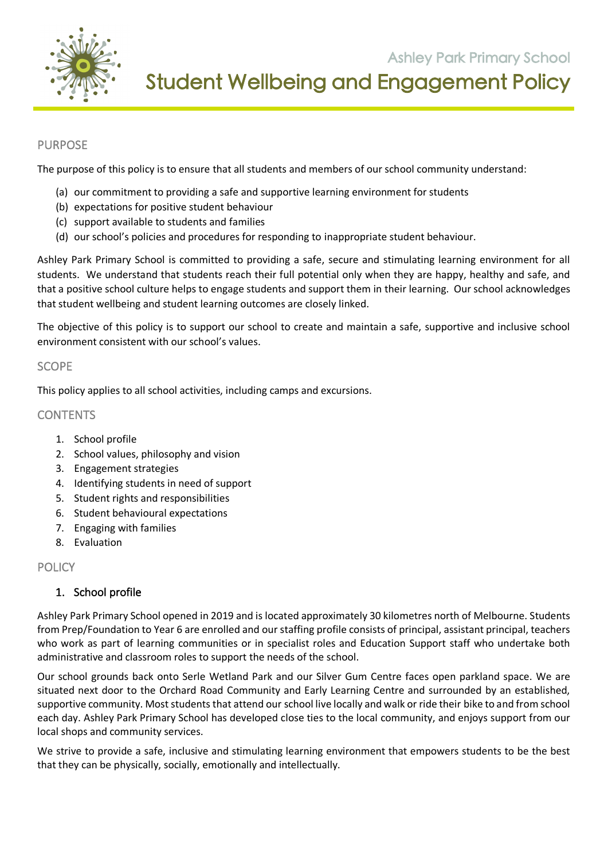

**Ashley Park Primary School**<br>**Student Wellbeing and Engagement Policy** 

 **105 Orchard Road Doreen 3754** 

### PURPOSE

The purpose of this policy is to ensure that all students and members of our school community understand:

- (a) our commitment to providing a safe and supportive learning environment for students
- (b) expectations for positive student behaviour
- (c) support available to students and families
- (d) our school's policies and procedures for responding to inappropriate student behaviour.

Ashley Park Primary School is committed to providing a safe, secure and stimulating learning environment for all students. We understand that students reach their full potential only when they are happy, healthy and safe, and that a positive school culture helps to engage students and support them in their learning. Our school acknowledges that student wellbeing and student learning outcomes are closely linked.

The objective of this policy is to support our school to create and maintain a safe, supportive and inclusive school environment consistent with our school's values.

#### SCOPE

This policy applies to all school activities, including camps and excursions.

### **CONTENTS**

- 1. School profile
- 2. School values, philosophy and vision
- 3. Engagement strategies
- 4. Identifying students in need of support
- 5. Student rights and responsibilities
- 6. Student behavioural expectations
- 7. Engaging with families
- 8. Evaluation

### **POLICY**

### 1. School profile

Ashley Park Primary School opened in 2019 and is located approximately 30 kilometres north of Melbourne. Students from Prep/Foundation to Year 6 are enrolled and our staffing profile consists of principal, assistant principal, teachers who work as part of learning communities or in specialist roles and Education Support staff who undertake both administrative and classroom roles to support the needs of the school.

Our school grounds back onto Serle Wetland Park and our Silver Gum Centre faces open parkland space. We are situated next door to the Orchard Road Community and Early Learning Centre and surrounded by an established, supportive community. Most students that attend our school live locally and walk or ride their bike to and from school each day. Ashley Park Primary School has developed close ties to the local community, and enjoys support from our local shops and community services.

We strive to provide a safe, inclusive and stimulating learning environment that empowers students to be the best that they can be physically, socially, emotionally and intellectually.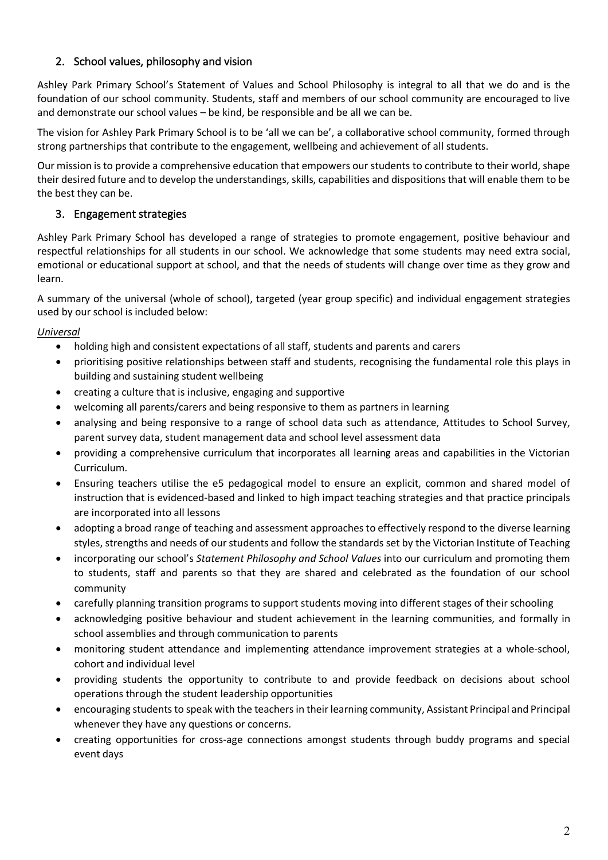# 2. School values, philosophy and vision

Ashley Park Primary School's Statement of Values and School Philosophy is integral to all that we do and is the foundation of our school community. Students, staff and members of our school community are encouraged to live and demonstrate our school values – be kind, be responsible and be all we can be.

The vision for Ashley Park Primary School is to be 'all we can be', a collaborative school community, formed through strong partnerships that contribute to the engagement, wellbeing and achievement of all students.

Our mission is to provide a comprehensive education that empowers our students to contribute to their world, shape their desired future and to develop the understandings, skills, capabilities and dispositions that will enable them to be the best they can be.

# 3. Engagement strategies

Ashley Park Primary School has developed a range of strategies to promote engagement, positive behaviour and respectful relationships for all students in our school. We acknowledge that some students may need extra social, emotional or educational support at school, and that the needs of students will change over time as they grow and learn.

A summary of the universal (whole of school), targeted (year group specific) and individual engagement strategies used by our school is included below:

# *Universal*

- holding high and consistent expectations of all staff, students and parents and carers
- prioritising positive relationships between staff and students, recognising the fundamental role this plays in building and sustaining student wellbeing
- creating a culture that is inclusive, engaging and supportive
- welcoming all parents/carers and being responsive to them as partners in learning
- analysing and being responsive to a range of school data such as attendance, Attitudes to School Survey, parent survey data, student management data and school level assessment data
- providing a comprehensive curriculum that incorporates all learning areas and capabilities in the Victorian Curriculum.
- Ensuring teachers utilise the e5 pedagogical model to ensure an explicit, common and shared model of instruction that is evidenced-based and linked to high impact teaching strategies and that practice principals are incorporated into all lessons
- adopting a broad range of teaching and assessment approaches to effectively respond to the diverse learning styles, strengths and needs of our students and follow the standards set by the Victorian Institute of Teaching
- incorporating our school's *Statement Philosophy and School Values* into our curriculum and promoting them to students, staff and parents so that they are shared and celebrated as the foundation of our school community
- carefully planning transition programs to support students moving into different stages of their schooling
- acknowledging positive behaviour and student achievement in the learning communities, and formally in school assemblies and through communication to parents
- monitoring student attendance and implementing attendance improvement strategies at a whole-school, cohort and individual level
- providing students the opportunity to contribute to and provide feedback on decisions about school operations through the student leadership opportunities
- encouraging students to speak with the teachers in their learning community, Assistant Principal and Principal whenever they have any questions or concerns.
- creating opportunities for cross-age connections amongst students through buddy programs and special event days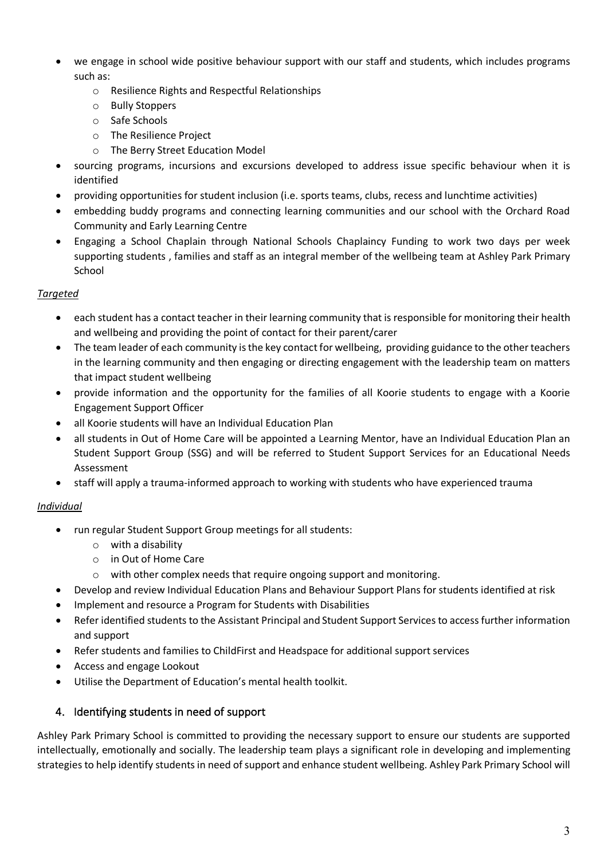- we engage in school wide positive behaviour support with our staff and students, which includes programs such as:
	- o Resilience Rights and Respectful Relationships
	- o Bully Stoppers
	- o Safe Schools
	- o The Resilience Project
	- o The Berry Street Education Model
- sourcing programs, incursions and excursions developed to address issue specific behaviour when it is identified
- providing opportunities for student inclusion (i.e. sports teams, clubs, recess and lunchtime activities)
- embedding buddy programs and connecting learning communities and our school with the Orchard Road Community and Early Learning Centre
- Engaging a School Chaplain through National Schools Chaplaincy Funding to work two days per week supporting students , families and staff as an integral member of the wellbeing team at Ashley Park Primary School

### *Targeted*

- each student has a contact teacher in their learning community that is responsible for monitoring their health and wellbeing and providing the point of contact for their parent/carer
- The team leader of each community is the key contact for wellbeing, providing guidance to the other teachers in the learning community and then engaging or directing engagement with the leadership team on matters that impact student wellbeing
- provide information and the opportunity for the families of all Koorie students to engage with a Koorie Engagement Support Officer
- all Koorie students will have an Individual Education Plan
- all students in Out of Home Care will be appointed a Learning Mentor, have an Individual Education Plan an Student Support Group (SSG) and will be referred to Student Support Services for an Educational Needs Assessment
- staff will apply a trauma-informed approach to working with students who have experienced trauma

# *Individual*

- run regular Student Support Group meetings for all students:
	- o with a disability
	- o in Out of Home Care
	- o with other complex needs that require ongoing support and monitoring.
- Develop and review Individual Education Plans and Behaviour Support Plans for students identified at risk
- Implement and resource a Program for Students with Disabilities
- Refer identified students to the Assistant Principal and Student Support Services to access further information and support
- Refer students and families to ChildFirst and Headspace for additional support services
- Access and engage Lookout
- Utilise the Department of Education's mental health toolkit.

# 4. Identifying students in need of support

Ashley Park Primary School is committed to providing the necessary support to ensure our students are supported intellectually, emotionally and socially. The leadership team plays a significant role in developing and implementing strategies to help identify students in need of support and enhance student wellbeing. Ashley Park Primary School will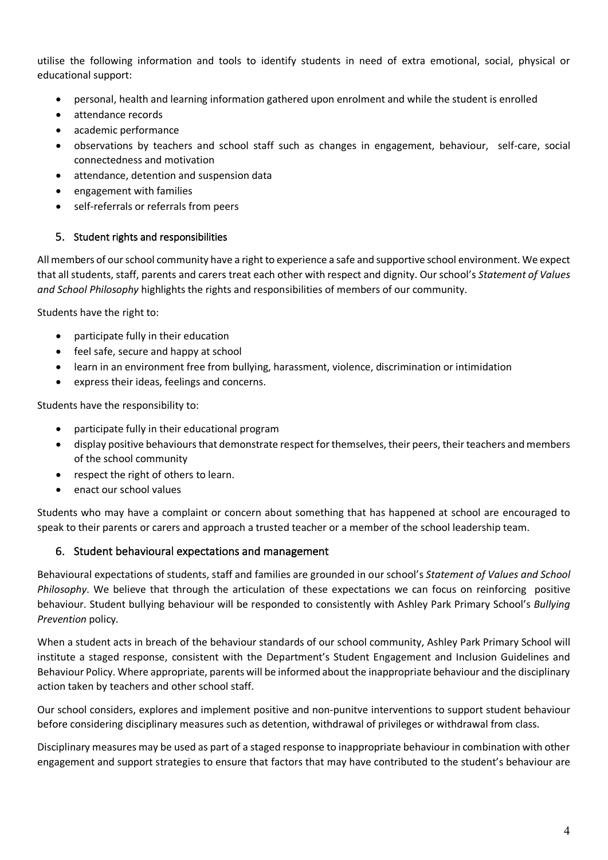utilise the following information and tools to identify students in need of extra emotional, social, physical or educational support:

- personal, health and learning information gathered upon enrolment and while the student is enrolled
- attendance records
- academic performance
- observations by teachers and school staff such as changes in engagement, behaviour, self-care, social connectedness and motivation
- attendance, detention and suspension data
- engagement with families
- self-referrals or referrals from peers

### 5. Student rights and responsibilities

All members of our school community have a right to experience a safe and supportive school environment. We expect that all students, staff, parents and carers treat each other with respect and dignity. Our school's *Statement of Values and School Philosophy* highlights the rights and responsibilities of members of our community.

Students have the right to:

- participate fully in their education
- feel safe, secure and happy at school
- learn in an environment free from bullying, harassment, violence, discrimination or intimidation
- express their ideas, feelings and concerns.

Students have the responsibility to:

- participate fully in their educational program
- display positive behaviours that demonstrate respect for themselves, their peers, their teachers and members of the school community
- respect the right of others to learn.
- enact our school values

Students who may have a complaint or concern about something that has happened at school are encouraged to speak to their parents or carers and approach a trusted teacher or a member of the school leadership team.

### 6. Student behavioural expectations and management

Behavioural expectations of students, staff and families are grounded in our school's *Statement of Values and School Philosophy*. We believe that through the articulation of these expectations we can focus on reinforcing positive behaviour. Student bullying behaviour will be responded to consistently with Ashley Park Primary School's *Bullying Prevention* policy.

When a student acts in breach of the behaviour standards of our school community, Ashley Park Primary School will institute a staged response, consistent with the Department's Student Engagement and Inclusion Guidelines and Behaviour Policy. Where appropriate, parents will be informed about the inappropriate behaviour and the disciplinary action taken by teachers and other school staff.

Our school considers, explores and implement positive and non-punitve interventions to support student behaviour before considering disciplinary measures such as detention, withdrawal of privileges or withdrawal from class.

Disciplinary measures may be used as part of a staged response to inappropriate behaviour in combination with other engagement and support strategies to ensure that factors that may have contributed to the student's behaviour are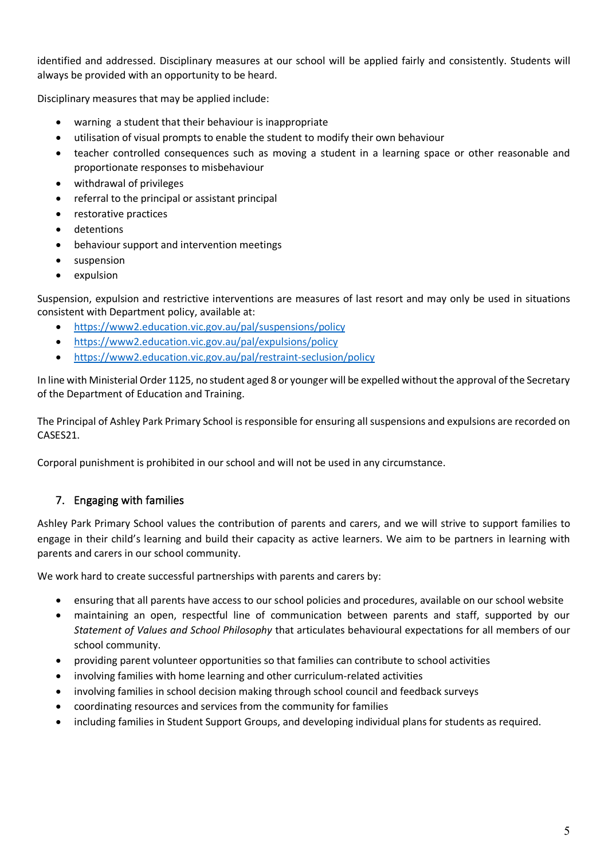identified and addressed. Disciplinary measures at our school will be applied fairly and consistently. Students will always be provided with an opportunity to be heard.

Disciplinary measures that may be applied include:

- warning a student that their behaviour is inappropriate
- utilisation of visual prompts to enable the student to modify their own behaviour
- teacher controlled consequences such as moving a student in a learning space or other reasonable and proportionate responses to misbehaviour
- withdrawal of privileges
- referral to the principal or assistant principal
- restorative practices
- detentions
- behaviour support and intervention meetings
- suspension
- expulsion

Suspension, expulsion and restrictive interventions are measures of last resort and may only be used in situations consistent with Department policy, available at:

- https://www2.education.vic.gov.au/pal/suspensions/policy
- https://www2.education.vic.gov.au/pal/expulsions/policy
- https://www2.education.vic.gov.au/pal/restraint-seclusion/policy

In line with Ministerial Order 1125, no student aged 8 or younger will be expelled without the approval of the Secretary of the Department of Education and Training.

The Principal of Ashley Park Primary School is responsible for ensuring all suspensions and expulsions are recorded on CASES21.

Corporal punishment is prohibited in our school and will not be used in any circumstance.

# 7. Engaging with families

Ashley Park Primary School values the contribution of parents and carers, and we will strive to support families to engage in their child's learning and build their capacity as active learners. We aim to be partners in learning with parents and carers in our school community.

We work hard to create successful partnerships with parents and carers by:

- ensuring that all parents have access to our school policies and procedures, available on our school website
- maintaining an open, respectful line of communication between parents and staff, supported by our *Statement of Values and School Philosophy* that articulates behavioural expectations for all members of our school community.
- providing parent volunteer opportunities so that families can contribute to school activities
- involving families with home learning and other curriculum-related activities
- involving families in school decision making through school council and feedback surveys
- coordinating resources and services from the community for families
- including families in Student Support Groups, and developing individual plans for students as required.